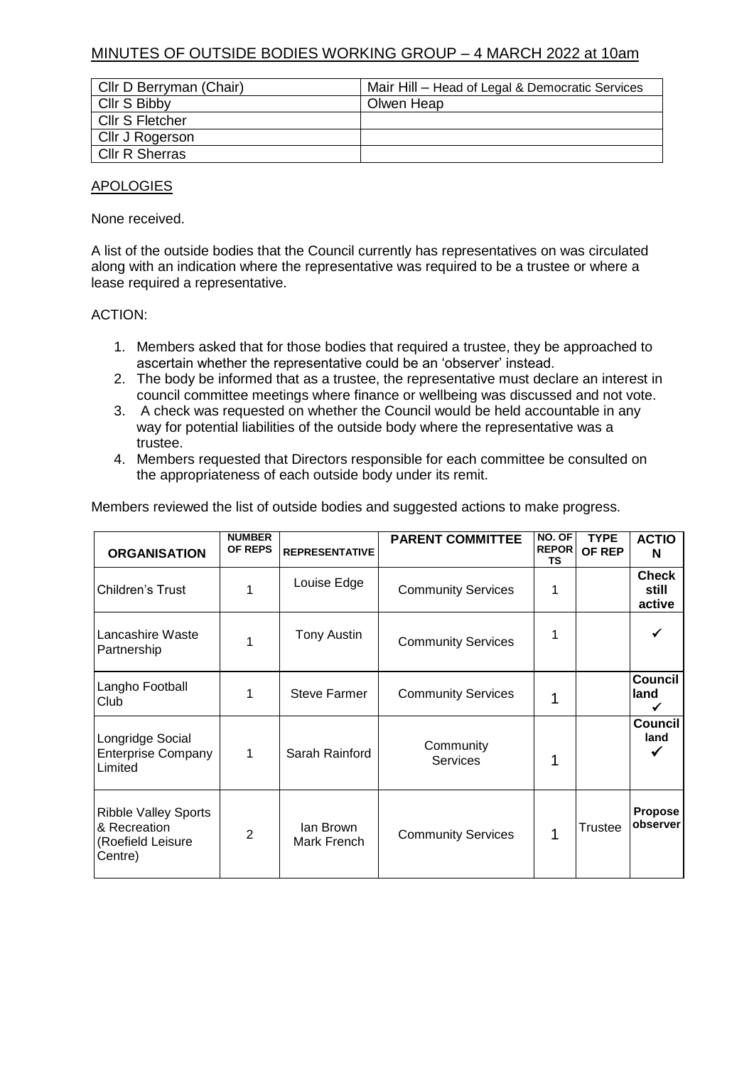## MINUTES OF OUTSIDE BODIES WORKING GROUP – 4 MARCH 2022 at 10am

| Cllr D Berryman (Chair) | Mair Hill - Head of Legal & Democratic Services |
|-------------------------|-------------------------------------------------|
| Cllr S Bibby            | Olwen Heap                                      |
| Cllr S Fletcher         |                                                 |
| Cllr J Rogerson         |                                                 |
| <b>CIIr R Sherras</b>   |                                                 |

## APOLOGIES

None received.

A list of the outside bodies that the Council currently has representatives on was circulated along with an indication where the representative was required to be a trustee or where a lease required a representative.

## ACTION:

- 1. Members asked that for those bodies that required a trustee, they be approached to ascertain whether the representative could be an 'observer' instead.
- 2. The body be informed that as a trustee, the representative must declare an interest in council committee meetings where finance or wellbeing was discussed and not vote.
- 3. A check was requested on whether the Council would be held accountable in any way for potential liabilities of the outside body where the representative was a trustee.
- 4. Members requested that Directors responsible for each committee be consulted on the appropriateness of each outside body under its remit.

Members reviewed the list of outside bodies and suggested actions to make progress.

| <b>ORGANISATION</b>                                                         | <b>NUMBER</b><br><b>OF REPS</b> | <b>REPRESENTATIVE</b>    | <b>PARENT COMMITTEE</b>      | NO. OF<br><b>REPOR</b><br>ΤS | <b>TYPE</b><br>OF REP | <b>ACTIO</b><br>N               |
|-----------------------------------------------------------------------------|---------------------------------|--------------------------|------------------------------|------------------------------|-----------------------|---------------------------------|
| Children's Trust                                                            |                                 | Louise Edge              | <b>Community Services</b>    | 1                            |                       | <b>Check</b><br>still<br>active |
| Lancashire Waste<br>Partnership                                             |                                 | Tony Austin              | <b>Community Services</b>    | 1                            |                       |                                 |
| Langho Football<br>Club                                                     | 1                               | <b>Steve Farmer</b>      | <b>Community Services</b>    | 1                            |                       | <b>Council</b><br>land          |
| Longridge Social<br><b>Enterprise Company</b><br>Limited                    | 1                               | Sarah Rainford           | Community<br><b>Services</b> | 1                            |                       | Council<br>land                 |
| <b>Ribble Valley Sports</b><br>& Recreation<br>(Roefield Leisure<br>Centre) | $\overline{2}$                  | lan Brown<br>Mark French | <b>Community Services</b>    | 1                            | Trustee               | <b>Propose</b><br>observer      |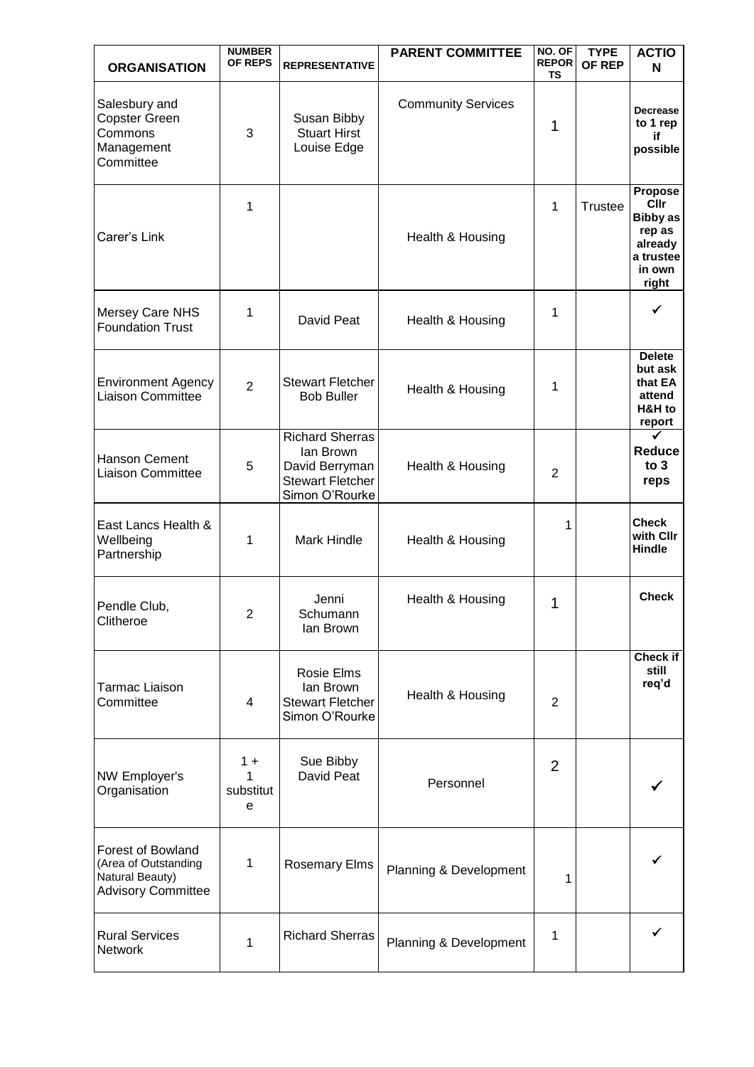|                                                                                                  | <b>NUMBER</b><br>OF REPS     |                                                                                                    | <b>PARENT COMMITTEE</b>   | NO. OF<br><b>REPOR</b> | <b>TYPE</b><br>OF REP | <b>ACTIO</b>                                                                                          |
|--------------------------------------------------------------------------------------------------|------------------------------|----------------------------------------------------------------------------------------------------|---------------------------|------------------------|-----------------------|-------------------------------------------------------------------------------------------------------|
| <b>ORGANISATION</b>                                                                              |                              | <b>REPRESENTATIVE</b>                                                                              |                           | TS                     |                       | N                                                                                                     |
| Salesbury and<br><b>Copster Green</b><br>Commons<br>Management<br>Committee                      | 3                            | Susan Bibby<br><b>Stuart Hirst</b><br>Louise Edge                                                  | <b>Community Services</b> | 1                      |                       | <b>Decrease</b><br>to 1 rep<br>if<br>possible                                                         |
| Carer's Link                                                                                     | 1                            |                                                                                                    | Health & Housing          | 1                      | <b>Trustee</b>        | <b>Propose</b><br><b>Cllr</b><br><b>Bibby as</b><br>rep as<br>already<br>a trustee<br>in own<br>right |
| Mersey Care NHS<br><b>Foundation Trust</b>                                                       | 1                            | David Peat                                                                                         | Health & Housing          | 1                      |                       | ✓                                                                                                     |
| <b>Environment Agency</b><br>Liaison Committee                                                   | $\overline{2}$               | <b>Stewart Fletcher</b><br><b>Bob Buller</b>                                                       | Health & Housing          | 1                      |                       | <b>Delete</b><br>but ask<br>that EA<br>attend<br>H&H to<br>report                                     |
| Hanson Cement<br><b>Liaison Committee</b>                                                        | 5                            | <b>Richard Sherras</b><br>lan Brown<br>David Berryman<br><b>Stewart Fletcher</b><br>Simon O'Rourke | Health & Housing          | 2                      |                       | <b>Reduce</b><br>to 3<br>reps                                                                         |
| East Lancs Health &<br>Wellbeing<br>Partnership                                                  | 1                            | <b>Mark Hindle</b>                                                                                 | Health & Housing          | 1                      |                       | <b>Check</b><br>with Cllr<br><b>Hindle</b>                                                            |
| Pendle Club,<br>Clitheroe                                                                        | $\mathbf{2}$                 | Jenni<br>Schumann<br>lan Brown                                                                     | Health & Housing          | 1                      |                       | <b>Check</b>                                                                                          |
| <b>Tarmac Liaison</b><br>Committee                                                               | 4                            | Rosie Elms<br>lan Brown<br><b>Stewart Fletcher</b><br>Simon O'Rourke                               | Health & Housing          | 2                      |                       | Check if<br>still<br>req'd                                                                            |
| NW Employer's<br>Organisation                                                                    | $1 +$<br>1<br>substitut<br>e | Sue Bibby<br>David Peat                                                                            | Personnel                 | $\overline{2}$         |                       |                                                                                                       |
| <b>Forest of Bowland</b><br>(Area of Outstanding<br>Natural Beauty)<br><b>Advisory Committee</b> | 1                            | <b>Rosemary Elms</b>                                                                               | Planning & Development    | 1                      |                       |                                                                                                       |
| <b>Rural Services</b><br><b>Network</b>                                                          | 1                            | <b>Richard Sherras</b>                                                                             | Planning & Development    | 1                      |                       |                                                                                                       |